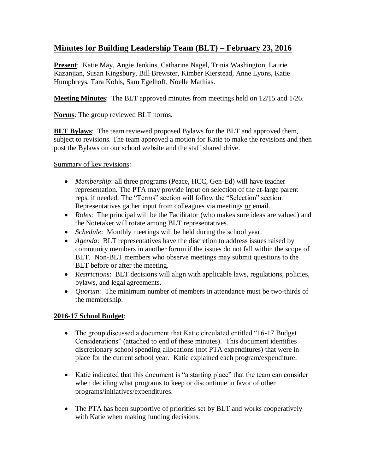## **Minutes for Building Leadership Team (BLT) – February 23, 2016**

**Present**: Katie May, Angie Jenkins, Catharine Nagel, Trinia Washington, Laurie Kazanjian, Susan Kingsbury, Bill Brewster, Kimber Kierstead, Anne Lyons, Katie Humphreys, Tara Kohls, Sam Egelhoff, Noelle Mathias.

**Meeting Minutes**: The BLT approved minutes from meetings held on 12/15 and 1/26.

**Norms**: The group reviewed BLT norms.

**BLT Bylaws:** The team reviewed proposed Bylaws for the BLT and approved them, subject to revisions. The team approved a motion for Katie to make the revisions and then post the Bylaws on our school website and the staff shared drive.

Summary of key revisions:

- *Membership*: all three programs (Peace, HCC, Gen-Ed) will have teacher representation. The PTA may provide input on selection of the at-large parent reps, if needed. The "Terms" section will follow the "Selection" section. Representatives gather input from colleagues via meetings or email.
- *Roles*: The principal will be the Facilitator (who makes sure ideas are valued) and the Notetaker will rotate among BLT representatives.
- *Schedule*: Monthly meetings will be held during the school year.
- *Agenda*: BLT representatives have the discretion to address issues raised by community members in another forum if the issues do not fall within the scope of BLT. Non-BLT members who observe meetings may submit questions to the BLT before or after the meeting.
- *Restrictions*: BLT decisions will align with applicable laws, regulations, policies, bylaws, and legal agreements.
- *Ouorum*: The minimum number of members in attendance must be two-thirds of the membership.

## **2016-17 School Budget**:

- The group discussed a document that Katie circulated entitled "16-17 Budget" Considerations" (attached to end of these minutes). This document identifies discretionary school spending allocations (not PTA expenditures) that were in place for the current school year. Katie explained each program/expenditure.
- Katie indicated that this document is "a starting place" that the team can consider when deciding what programs to keep or discontinue in favor of other programs/initiatives/expenditures.
- The PTA has been supportive of priorities set by BLT and works cooperatively with Katie when making funding decisions.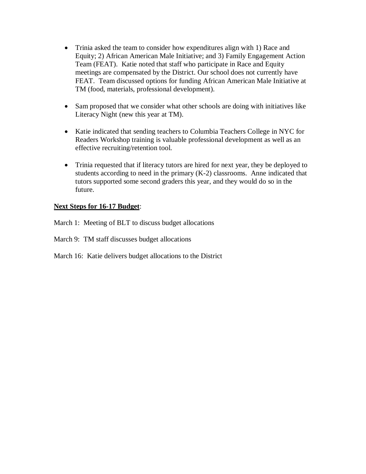- Trinia asked the team to consider how expenditures align with 1) Race and Equity; 2) African American Male Initiative; and 3) Family Engagement Action Team (FEAT). Katie noted that staff who participate in Race and Equity meetings are compensated by the District. Our school does not currently have FEAT. Team discussed options for funding African American Male Initiative at TM (food, materials, professional development).
- Sam proposed that we consider what other schools are doing with initiatives like Literacy Night (new this year at TM).
- Katie indicated that sending teachers to Columbia Teachers College in NYC for Readers Workshop training is valuable professional development as well as an effective recruiting/retention tool.
- Trinia requested that if literacy tutors are hired for next year, they be deployed to students according to need in the primary (K-2) classrooms. Anne indicated that tutors supported some second graders this year, and they would do so in the future.

## **Next Steps for 16-17 Budget**:

March 1: Meeting of BLT to discuss budget allocations

March 9: TM staff discusses budget allocations

March 16: Katie delivers budget allocations to the District